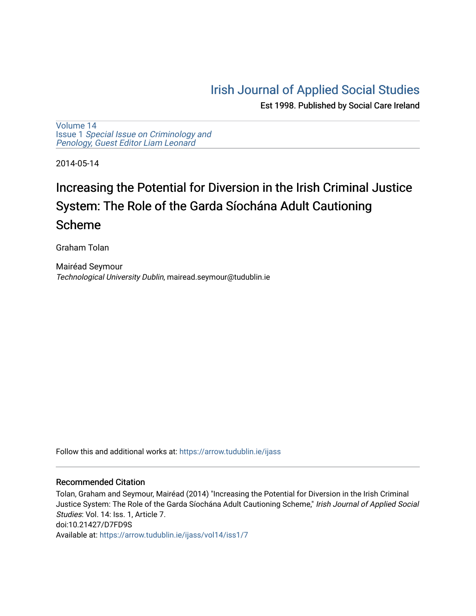## [Irish Journal of Applied Social Studies](https://arrow.tudublin.ie/ijass)

Est 1998. Published by Social Care Ireland

[Volume 14](https://arrow.tudublin.ie/ijass/vol14) Issue 1 [Special Issue on Criminology and](https://arrow.tudublin.ie/ijass/vol14/iss1)  [Penology, Guest Editor Liam Leonard](https://arrow.tudublin.ie/ijass/vol14/iss1)

2014-05-14

# Increasing the Potential for Diversion in the Irish Criminal Justice System: The Role of the Garda Síochána Adult Cautioning Scheme

Graham Tolan

Mairéad Seymour Technological University Dublin, mairead.seymour@tudublin.ie

Follow this and additional works at: [https://arrow.tudublin.ie/ijass](https://arrow.tudublin.ie/ijass?utm_source=arrow.tudublin.ie%2Fijass%2Fvol14%2Fiss1%2F7&utm_medium=PDF&utm_campaign=PDFCoverPages) 

#### Recommended Citation

Tolan, Graham and Seymour, Mairéad (2014) "Increasing the Potential for Diversion in the Irish Criminal Justice System: The Role of the Garda Síochána Adult Cautioning Scheme," Irish Journal of Applied Social Studies: Vol. 14: Iss. 1, Article 7. doi:10.21427/D7FD9S Available at: [https://arrow.tudublin.ie/ijass/vol14/iss1/7](https://arrow.tudublin.ie/ijass/vol14/iss1/7?utm_source=arrow.tudublin.ie%2Fijass%2Fvol14%2Fiss1%2F7&utm_medium=PDF&utm_campaign=PDFCoverPages)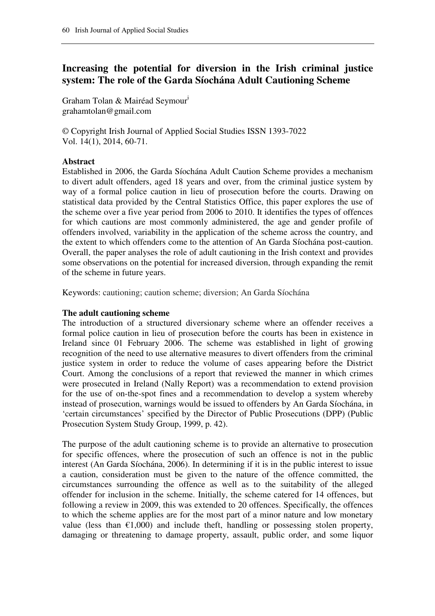### **Increasing the potential for diversion in the Irish criminal justice system: The role of the Garda Síochána Adult Cautioning Scheme**

Graham Tolan & Mairéad Seymour<sup>i</sup> grahamtolan@gmail.com

© Copyright Irish Journal of Applied Social Studies ISSN 1393-7022 Vol. 14(1), 2014, 60-71.

#### **Abstract**

Established in 2006, the Garda Síochána Adult Caution Scheme provides a mechanism to divert adult offenders, aged 18 years and over, from the criminal justice system by way of a formal police caution in lieu of prosecution before the courts. Drawing on statistical data provided by the Central Statistics Office, this paper explores the use of the scheme over a five year period from 2006 to 2010. It identifies the types of offences for which cautions are most commonly administered, the age and gender profile of offenders involved, variability in the application of the scheme across the country, and the extent to which offenders come to the attention of An Garda Síochána post-caution. Overall, the paper analyses the role of adult cautioning in the Irish context and provides some observations on the potential for increased diversion, through expanding the remit of the scheme in future years.

Keywords: cautioning; caution scheme; diversion; An Garda Síochána

#### **The adult cautioning scheme**

The introduction of a structured diversionary scheme where an offender receives a formal police caution in lieu of prosecution before the courts has been in existence in Ireland since 01 February 2006. The scheme was established in light of growing recognition of the need to use alternative measures to divert offenders from the criminal justice system in order to reduce the volume of cases appearing before the District Court. Among the conclusions of a report that reviewed the manner in which crimes were prosecuted in Ireland (Nally Report) was a recommendation to extend provision for the use of on-the-spot fines and a recommendation to develop a system whereby instead of prosecution, warnings would be issued to offenders by An Garda Síochána, in 'certain circumstances' specified by the Director of Public Prosecutions (DPP) (Public Prosecution System Study Group, 1999, p. 42).

The purpose of the adult cautioning scheme is to provide an alternative to prosecution for specific offences, where the prosecution of such an offence is not in the public interest (An Garda Síochána, 2006). In determining if it is in the public interest to issue a caution, consideration must be given to the nature of the offence committed, the circumstances surrounding the offence as well as to the suitability of the alleged offender for inclusion in the scheme. Initially, the scheme catered for 14 offences, but following a review in 2009, this was extended to 20 offences. Specifically, the offences to which the scheme applies are for the most part of a minor nature and low monetary value (less than  $\epsilon$ 1,000) and include theft, handling or possessing stolen property, damaging or threatening to damage property, assault, public order, and some liquor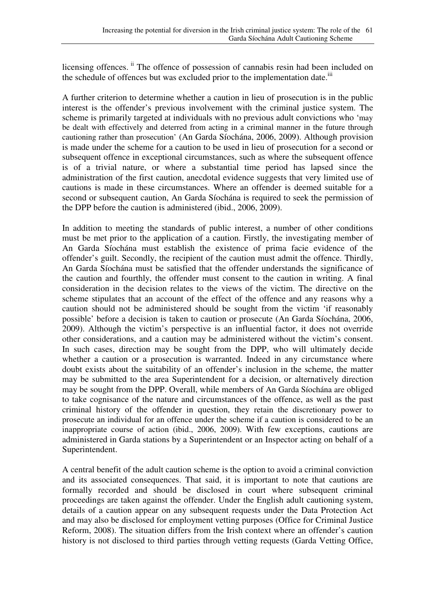licensing offences. <sup>ii</sup> The offence of possession of cannabis resin had been included on the schedule of offences but was excluded prior to the implementation date.<sup>iii</sup>

A further criterion to determine whether a caution in lieu of prosecution is in the public interest is the offender's previous involvement with the criminal justice system. The scheme is primarily targeted at individuals with no previous adult convictions who 'may be dealt with effectively and deterred from acting in a criminal manner in the future through cautioning rather than prosecution' (An Garda Síochána, 2006, 2009). Although provision is made under the scheme for a caution to be used in lieu of prosecution for a second or subsequent offence in exceptional circumstances, such as where the subsequent offence is of a trivial nature, or where a substantial time period has lapsed since the administration of the first caution, anecdotal evidence suggests that very limited use of cautions is made in these circumstances. Where an offender is deemed suitable for a second or subsequent caution, An Garda Síochána is required to seek the permission of the DPP before the caution is administered (ibid., 2006, 2009).

In addition to meeting the standards of public interest, a number of other conditions must be met prior to the application of a caution. Firstly, the investigating member of An Garda Síochána must establish the existence of prima facie evidence of the offender's guilt. Secondly, the recipient of the caution must admit the offence. Thirdly, An Garda Síochána must be satisfied that the offender understands the significance of the caution and fourthly, the offender must consent to the caution in writing. A final consideration in the decision relates to the views of the victim. The directive on the scheme stipulates that an account of the effect of the offence and any reasons why a caution should not be administered should be sought from the victim 'if reasonably possible' before a decision is taken to caution or prosecute (An Garda Síochána, 2006, 2009). Although the victim's perspective is an influential factor, it does not override other considerations, and a caution may be administered without the victim's consent. In such cases, direction may be sought from the DPP, who will ultimately decide whether a caution or a prosecution is warranted. Indeed in any circumstance where doubt exists about the suitability of an offender's inclusion in the scheme, the matter may be submitted to the area Superintendent for a decision, or alternatively direction may be sought from the DPP. Overall, while members of An Garda Síochána are obliged to take cognisance of the nature and circumstances of the offence, as well as the past criminal history of the offender in question, they retain the discretionary power to prosecute an individual for an offence under the scheme if a caution is considered to be an inappropriate course of action (ibid., 2006, 2009). With few exceptions, cautions are administered in Garda stations by a Superintendent or an Inspector acting on behalf of a Superintendent.

A central benefit of the adult caution scheme is the option to avoid a criminal conviction and its associated consequences. That said, it is important to note that cautions are formally recorded and should be disclosed in court where subsequent criminal proceedings are taken against the offender. Under the English adult cautioning system, details of a caution appear on any subsequent requests under the Data Protection Act and may also be disclosed for employment vetting purposes (Office for Criminal Justice Reform, 2008). The situation differs from the Irish context where an offender's caution history is not disclosed to third parties through vetting requests (Garda Vetting Office,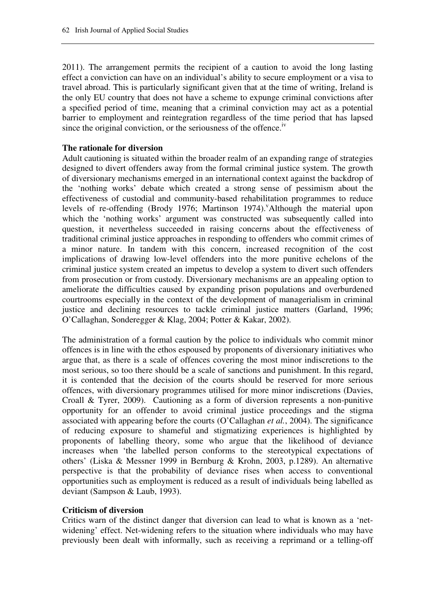2011). The arrangement permits the recipient of a caution to avoid the long lasting effect a conviction can have on an individual's ability to secure employment or a visa to travel abroad. This is particularly significant given that at the time of writing, Ireland is the only EU country that does not have a scheme to expunge criminal convictions after a specified period of time, meaning that a criminal conviction may act as a potential barrier to employment and reintegration regardless of the time period that has lapsed since the original conviction, or the seriousness of the offence.<sup>iv</sup>

#### **The rationale for diversion**

Adult cautioning is situated within the broader realm of an expanding range of strategies designed to divert offenders away from the formal criminal justice system. The growth of diversionary mechanisms emerged in an international context against the backdrop of the 'nothing works' debate which created a strong sense of pessimism about the effectiveness of custodial and community-based rehabilitation programmes to reduce levels of re-offending (Brody 1976; Martinson 1974). Although the material upon which the 'nothing works' argument was constructed was subsequently called into question, it nevertheless succeeded in raising concerns about the effectiveness of traditional criminal justice approaches in responding to offenders who commit crimes of a minor nature. In tandem with this concern, increased recognition of the cost implications of drawing low-level offenders into the more punitive echelons of the criminal justice system created an impetus to develop a system to divert such offenders from prosecution or from custody. Diversionary mechanisms are an appealing option to ameliorate the difficulties caused by expanding prison populations and overburdened courtrooms especially in the context of the development of managerialism in criminal justice and declining resources to tackle criminal justice matters (Garland, 1996; O'Callaghan, Sonderegger & Klag, 2004; Potter & Kakar, 2002).

The administration of a formal caution by the police to individuals who commit minor offences is in line with the ethos espoused by proponents of diversionary initiatives who argue that, as there is a scale of offences covering the most minor indiscretions to the most serious, so too there should be a scale of sanctions and punishment. In this regard, it is contended that the decision of the courts should be reserved for more serious offences, with diversionary programmes utilised for more minor indiscretions (Davies, Croall & Tyrer, 2009). Cautioning as a form of diversion represents a non-punitive opportunity for an offender to avoid criminal justice proceedings and the stigma associated with appearing before the courts (O'Callaghan *et al.*, 2004). The significance of reducing exposure to shameful and stigmatizing experiences is highlighted by proponents of labelling theory, some who argue that the likelihood of deviance increases when 'the labelled person conforms to the stereotypical expectations of others' (Liska & Messner 1999 in Bernburg & Krohn, 2003, p.1289). An alternative perspective is that the probability of deviance rises when access to conventional opportunities such as employment is reduced as a result of individuals being labelled as deviant (Sampson & Laub, 1993).

#### **Criticism of diversion**

Critics warn of the distinct danger that diversion can lead to what is known as a 'netwidening' effect. Net-widening refers to the situation where individuals who may have previously been dealt with informally, such as receiving a reprimand or a telling-off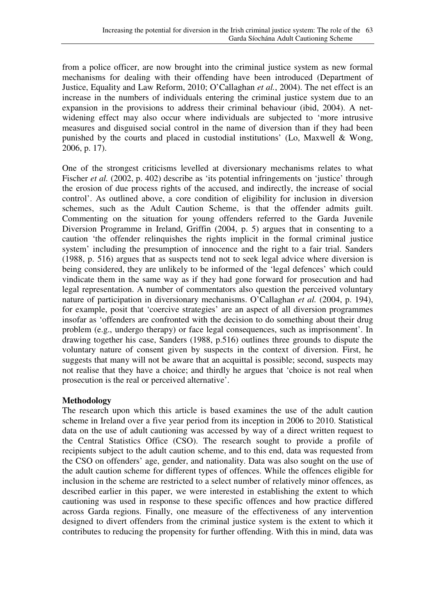from a police officer, are now brought into the criminal justice system as new formal mechanisms for dealing with their offending have been introduced (Department of Justice, Equality and Law Reform, 2010; O'Callaghan *et al.*, 2004). The net effect is an increase in the numbers of individuals entering the criminal justice system due to an expansion in the provisions to address their criminal behaviour (ibid, 2004). A netwidening effect may also occur where individuals are subjected to 'more intrusive measures and disguised social control in the name of diversion than if they had been punished by the courts and placed in custodial institutions' (Lo, Maxwell & Wong, 2006, p. 17).

One of the strongest criticisms levelled at diversionary mechanisms relates to what Fischer *et al.* (2002, p. 402) describe as 'its potential infringements on 'justice' through the erosion of due process rights of the accused, and indirectly, the increase of social control'. As outlined above, a core condition of eligibility for inclusion in diversion schemes, such as the Adult Caution Scheme, is that the offender admits guilt. Commenting on the situation for young offenders referred to the Garda Juvenile Diversion Programme in Ireland, Griffin (2004, p. 5) argues that in consenting to a caution 'the offender relinquishes the rights implicit in the formal criminal justice system' including the presumption of innocence and the right to a fair trial. Sanders (1988, p. 516) argues that as suspects tend not to seek legal advice where diversion is being considered, they are unlikely to be informed of the 'legal defences' which could vindicate them in the same way as if they had gone forward for prosecution and had legal representation. A number of commentators also question the perceived voluntary nature of participation in diversionary mechanisms. O'Callaghan *et al.* (2004, p. 194), for example, posit that 'coercive strategies' are an aspect of all diversion programmes insofar as 'offenders are confronted with the decision to do something about their drug problem (e.g., undergo therapy) or face legal consequences, such as imprisonment'. In drawing together his case, Sanders (1988, p.516) outlines three grounds to dispute the voluntary nature of consent given by suspects in the context of diversion. First, he suggests that many will not be aware that an acquittal is possible; second, suspects may not realise that they have a choice; and thirdly he argues that 'choice is not real when prosecution is the real or perceived alternative'.

#### **Methodology**

The research upon which this article is based examines the use of the adult caution scheme in Ireland over a five year period from its inception in 2006 to 2010. Statistical data on the use of adult cautioning was accessed by way of a direct written request to the Central Statistics Office (CSO). The research sought to provide a profile of recipients subject to the adult caution scheme, and to this end, data was requested from the CSO on offenders' age, gender, and nationality. Data was also sought on the use of the adult caution scheme for different types of offences. While the offences eligible for inclusion in the scheme are restricted to a select number of relatively minor offences, as described earlier in this paper, we were interested in establishing the extent to which cautioning was used in response to these specific offences and how practice differed across Garda regions. Finally, one measure of the effectiveness of any intervention designed to divert offenders from the criminal justice system is the extent to which it contributes to reducing the propensity for further offending. With this in mind, data was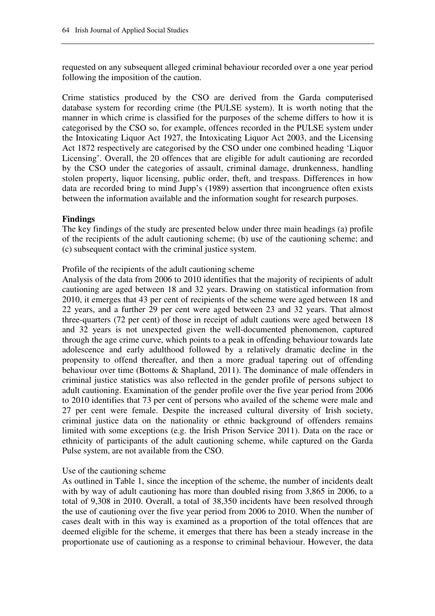requested on any subsequent alleged criminal behaviour recorded over a one year period following the imposition of the caution.

Crime statistics produced by the CSO are derived from the Garda computerised database system for recording crime (the PULSE system). It is worth noting that the manner in which crime is classified for the purposes of the scheme differs to how it is categorised by the CSO so, for example, offences recorded in the PULSE system under the Intoxicating Liquor Act 1927, the Intoxicating Liquor Act 2003, and the Licensing Act 1872 respectively are categorised by the CSO under one combined heading 'Liquor Licensing'. Overall, the 20 offences that are eligible for adult cautioning are recorded by the CSO under the categories of assault, criminal damage, drunkenness, handling stolen property, liquor licensing, public order, theft, and trespass. Differences in how data are recorded bring to mind Jupp's (1989) assertion that incongruence often exists between the information available and the information sought for research purposes.

#### **Findings**

The key findings of the study are presented below under three main headings (a) profile of the recipients of the adult cautioning scheme; (b) use of the cautioning scheme; and (c) subsequent contact with the criminal justice system.

#### Profile of the recipients of the adult cautioning scheme

Analysis of the data from 2006 to 2010 identifies that the majority of recipients of adult cautioning are aged between 18 and 32 years. Drawing on statistical information from 2010, it emerges that 43 per cent of recipients of the scheme were aged between 18 and 22 years, and a further 29 per cent were aged between 23 and 32 years. That almost three-quarters (72 per cent) of those in receipt of adult cautions were aged between 18 and 32 years is not unexpected given the well-documented phenomenon, captured through the age crime curve, which points to a peak in offending behaviour towards late adolescence and early adulthood followed by a relatively dramatic decline in the propensity to offend thereafter, and then a more gradual tapering out of offending behaviour over time (Bottoms & Shapland, 2011). The dominance of male offenders in criminal justice statistics was also reflected in the gender profile of persons subject to adult cautioning. Examination of the gender profile over the five year period from 2006 to 2010 identifies that 73 per cent of persons who availed of the scheme were male and 27 per cent were female. Despite the increased cultural diversity of Irish society, criminal justice data on the nationality or ethnic background of offenders remains limited with some exceptions (e.g. the Irish Prison Service 2011). Data on the race or ethnicity of participants of the adult cautioning scheme, while captured on the Garda Pulse system, are not available from the CSO.

#### Use of the cautioning scheme

As outlined in Table 1, since the inception of the scheme, the number of incidents dealt with by way of adult cautioning has more than doubled rising from 3,865 in 2006, to a total of 9,308 in 2010. Overall, a total of 38,350 incidents have been resolved through the use of cautioning over the five year period from 2006 to 2010. When the number of cases dealt with in this way is examined as a proportion of the total offences that are deemed eligible for the scheme, it emerges that there has been a steady increase in the proportionate use of cautioning as a response to criminal behaviour. However, the data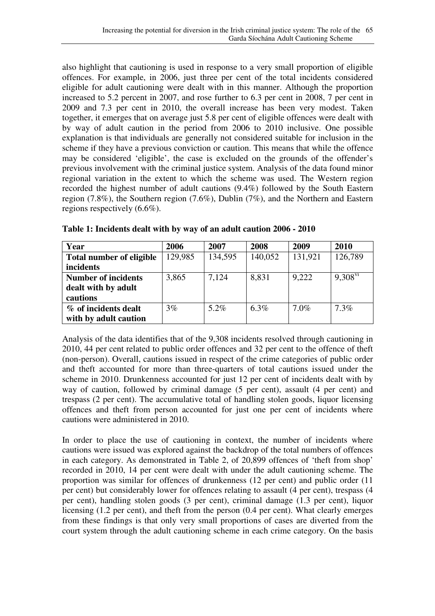also highlight that cautioning is used in response to a very small proportion of eligible offences. For example, in 2006, just three per cent of the total incidents considered eligible for adult cautioning were dealt with in this manner. Although the proportion increased to 5.2 percent in 2007, and rose further to 6.3 per cent in 2008, 7 per cent in 2009 and 7.3 per cent in 2010, the overall increase has been very modest. Taken together, it emerges that on average just 5.8 per cent of eligible offences were dealt with by way of adult caution in the period from 2006 to 2010 inclusive. One possible explanation is that individuals are generally not considered suitable for inclusion in the scheme if they have a previous conviction or caution. This means that while the offence may be considered 'eligible', the case is excluded on the grounds of the offender's previous involvement with the criminal justice system. Analysis of the data found minor regional variation in the extent to which the scheme was used. The Western region recorded the highest number of adult cautions (9.4%) followed by the South Eastern region (7.8%), the Southern region (7.6%), Dublin (7%), and the Northern and Eastern regions respectively (6.6%).

| Year                            | 2006    | 2007    | 2008    | 2009    | 2010         |
|---------------------------------|---------|---------|---------|---------|--------------|
| <b>Total number of eligible</b> | 129,985 | 134,595 | 140,052 | 131,921 | 126,789      |
| incidents                       |         |         |         |         |              |
| <b>Number of incidents</b>      | 3,865   | 7,124   | 8,831   | 9,222   | $9.308^{vi}$ |
| dealt with by adult             |         |         |         |         |              |
| cautions                        |         |         |         |         |              |
| % of incidents dealt            | 3%      | $5.2\%$ | $6.3\%$ | $7.0\%$ | 7.3%         |
| with by adult caution           |         |         |         |         |              |

**Table 1: Incidents dealt with by way of an adult caution 2006 - 2010** 

Analysis of the data identifies that of the 9,308 incidents resolved through cautioning in 2010, 44 per cent related to public order offences and 32 per cent to the offence of theft (non-person). Overall, cautions issued in respect of the crime categories of public order and theft accounted for more than three-quarters of total cautions issued under the scheme in 2010. Drunkenness accounted for just 12 per cent of incidents dealt with by way of caution, followed by criminal damage (5 per cent), assault (4 per cent) and trespass (2 per cent). The accumulative total of handling stolen goods, liquor licensing offences and theft from person accounted for just one per cent of incidents where cautions were administered in 2010.

In order to place the use of cautioning in context, the number of incidents where cautions were issued was explored against the backdrop of the total numbers of offences in each category. As demonstrated in Table 2, of 20,899 offences of 'theft from shop' recorded in 2010, 14 per cent were dealt with under the adult cautioning scheme. The proportion was similar for offences of drunkenness (12 per cent) and public order (11 per cent) but considerably lower for offences relating to assault (4 per cent), trespass (4 per cent), handling stolen goods (3 per cent), criminal damage (1.3 per cent), liquor licensing (1.2 per cent), and theft from the person (0.4 per cent). What clearly emerges from these findings is that only very small proportions of cases are diverted from the court system through the adult cautioning scheme in each crime category. On the basis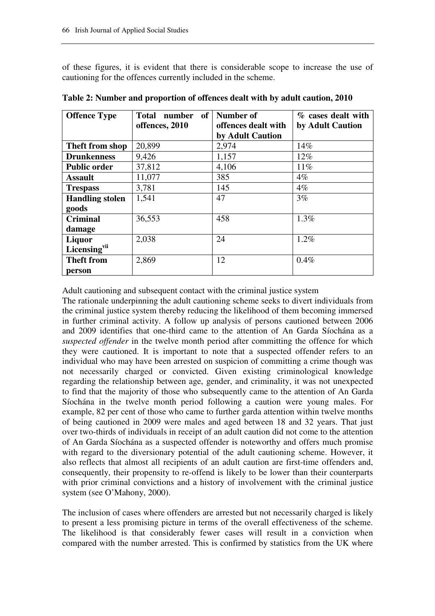of these figures, it is evident that there is considerable scope to increase the use of cautioning for the offences currently included in the scheme.

| <b>Offence Type</b>      | of<br><b>Total</b><br>number<br>offences, 2010 | <b>Number of</b><br>offences dealt with | $%$ cases dealt with<br>by Adult Caution |
|--------------------------|------------------------------------------------|-----------------------------------------|------------------------------------------|
|                          |                                                | by Adult Caution                        |                                          |
| Theft from shop          | 20,899                                         | 2,974                                   | 14%                                      |
| <b>Drunkenness</b>       | 9,426                                          | 1,157                                   | $12\%$                                   |
| <b>Public order</b>      | 37,812                                         | 4,106                                   | 11%                                      |
| <b>Assault</b>           | 11,077                                         | 385                                     | $4\%$                                    |
| <b>Trespass</b>          | 3,781                                          | 145                                     | $4\%$                                    |
| <b>Handling stolen</b>   | 1,541                                          | 47                                      | 3%                                       |
| goods                    |                                                |                                         |                                          |
| <b>Criminal</b>          | 36,553                                         | 458                                     | 1.3%                                     |
| damage                   |                                                |                                         |                                          |
| Liquor                   | 2,038                                          | 24                                      | 1.2%                                     |
| Licensing <sup>vii</sup> |                                                |                                         |                                          |
| <b>Theft from</b>        | 2,869                                          | 12                                      | 0.4%                                     |
| person                   |                                                |                                         |                                          |

**Table 2: Number and proportion of offences dealt with by adult caution, 2010** 

Adult cautioning and subsequent contact with the criminal justice system

The rationale underpinning the adult cautioning scheme seeks to divert individuals from the criminal justice system thereby reducing the likelihood of them becoming immersed in further criminal activity. A follow up analysis of persons cautioned between 2006 and 2009 identifies that one-third came to the attention of An Garda Síochána as a *suspected offender* in the twelve month period after committing the offence for which they were cautioned. It is important to note that a suspected offender refers to an individual who may have been arrested on suspicion of committing a crime though was not necessarily charged or convicted. Given existing criminological knowledge regarding the relationship between age, gender, and criminality, it was not unexpected to find that the majority of those who subsequently came to the attention of An Garda Síochána in the twelve month period following a caution were young males. For example, 82 per cent of those who came to further garda attention within twelve months of being cautioned in 2009 were males and aged between 18 and 32 years. That just over two-thirds of individuals in receipt of an adult caution did not come to the attention of An Garda Síochána as a suspected offender is noteworthy and offers much promise with regard to the diversionary potential of the adult cautioning scheme. However, it also reflects that almost all recipients of an adult caution are first-time offenders and, consequently, their propensity to re-offend is likely to be lower than their counterparts with prior criminal convictions and a history of involvement with the criminal justice system (see O'Mahony, 2000).

The inclusion of cases where offenders are arrested but not necessarily charged is likely to present a less promising picture in terms of the overall effectiveness of the scheme. The likelihood is that considerably fewer cases will result in a conviction when compared with the number arrested. This is confirmed by statistics from the UK where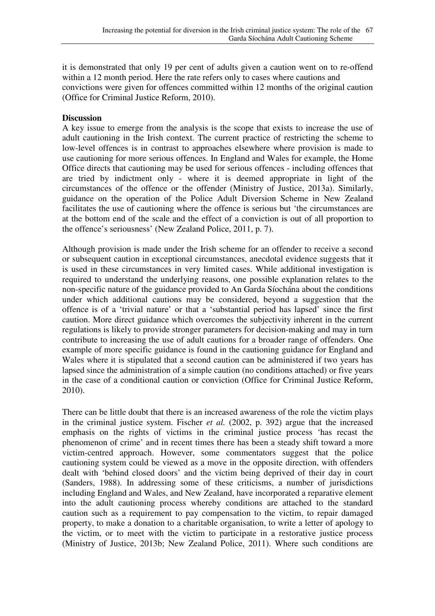it is demonstrated that only 19 per cent of adults given a caution went on to re-offend within a 12 month period. Here the rate refers only to cases where cautions and convictions were given for offences committed within 12 months of the original caution (Office for Criminal Justice Reform, 2010).

#### **Discussion**

A key issue to emerge from the analysis is the scope that exists to increase the use of adult cautioning in the Irish context. The current practice of restricting the scheme to low-level offences is in contrast to approaches elsewhere where provision is made to use cautioning for more serious offences. In England and Wales for example, the Home Office directs that cautioning may be used for serious offences - including offences that are tried by indictment only - where it is deemed appropriate in light of the circumstances of the offence or the offender (Ministry of Justice, 2013a). Similarly, guidance on the operation of the Police Adult Diversion Scheme in New Zealand facilitates the use of cautioning where the offence is serious but 'the circumstances are at the bottom end of the scale and the effect of a conviction is out of all proportion to the offence's seriousness' (New Zealand Police, 2011, p. 7).

Although provision is made under the Irish scheme for an offender to receive a second or subsequent caution in exceptional circumstances, anecdotal evidence suggests that it is used in these circumstances in very limited cases. While additional investigation is required to understand the underlying reasons, one possible explanation relates to the non-specific nature of the guidance provided to An Garda Síochána about the conditions under which additional cautions may be considered, beyond a suggestion that the offence is of a 'trivial nature' or that a 'substantial period has lapsed' since the first caution. More direct guidance which overcomes the subjectivity inherent in the current regulations is likely to provide stronger parameters for decision-making and may in turn contribute to increasing the use of adult cautions for a broader range of offenders. One example of more specific guidance is found in the cautioning guidance for England and Wales where it is stipulated that a second caution can be administered if two years has lapsed since the administration of a simple caution (no conditions attached) or five years in the case of a conditional caution or conviction (Office for Criminal Justice Reform, 2010).

There can be little doubt that there is an increased awareness of the role the victim plays in the criminal justice system. Fischer *et al.* (2002, p. 392) argue that the increased emphasis on the rights of victims in the criminal justice process 'has recast the phenomenon of crime' and in recent times there has been a steady shift toward a more victim-centred approach. However, some commentators suggest that the police cautioning system could be viewed as a move in the opposite direction, with offenders dealt with 'behind closed doors' and the victim being deprived of their day in court (Sanders, 1988). In addressing some of these criticisms, a number of jurisdictions including England and Wales, and New Zealand, have incorporated a reparative element into the adult cautioning process whereby conditions are attached to the standard caution such as a requirement to pay compensation to the victim, to repair damaged property, to make a donation to a charitable organisation, to write a letter of apology to the victim, or to meet with the victim to participate in a restorative justice process (Ministry of Justice, 2013b; New Zealand Police, 2011). Where such conditions are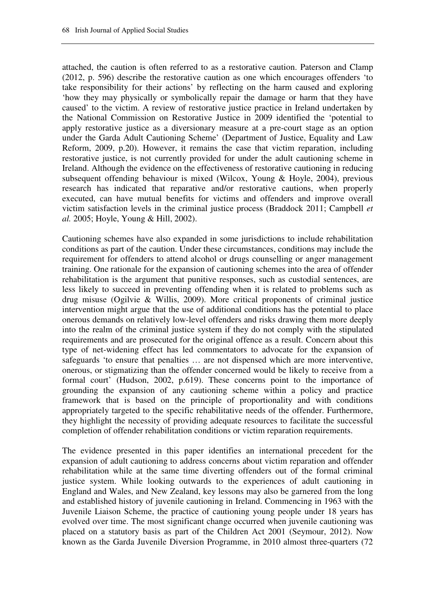attached, the caution is often referred to as a restorative caution. Paterson and Clamp (2012, p. 596) describe the restorative caution as one which encourages offenders 'to take responsibility for their actions' by reflecting on the harm caused and exploring 'how they may physically or symbolically repair the damage or harm that they have caused' to the victim. A review of restorative justice practice in Ireland undertaken by the National Commission on Restorative Justice in 2009 identified the 'potential to apply restorative justice as a diversionary measure at a pre-court stage as an option under the Garda Adult Cautioning Scheme' (Department of Justice, Equality and Law Reform, 2009, p.20). However, it remains the case that victim reparation, including restorative justice, is not currently provided for under the adult cautioning scheme in Ireland. Although the evidence on the effectiveness of restorative cautioning in reducing subsequent offending behaviour is mixed (Wilcox, Young & Hoyle, 2004), previous research has indicated that reparative and/or restorative cautions, when properly executed, can have mutual benefits for victims and offenders and improve overall victim satisfaction levels in the criminal justice process (Braddock 2011; Campbell *et al.* 2005; Hoyle, Young & Hill, 2002).

Cautioning schemes have also expanded in some jurisdictions to include rehabilitation conditions as part of the caution. Under these circumstances, conditions may include the requirement for offenders to attend alcohol or drugs counselling or anger management training. One rationale for the expansion of cautioning schemes into the area of offender rehabilitation is the argument that punitive responses, such as custodial sentences, are less likely to succeed in preventing offending when it is related to problems such as drug misuse (Ogilvie & Willis, 2009). More critical proponents of criminal justice intervention might argue that the use of additional conditions has the potential to place onerous demands on relatively low-level offenders and risks drawing them more deeply into the realm of the criminal justice system if they do not comply with the stipulated requirements and are prosecuted for the original offence as a result. Concern about this type of net-widening effect has led commentators to advocate for the expansion of safeguards 'to ensure that penalties … are not dispensed which are more interventive, onerous, or stigmatizing than the offender concerned would be likely to receive from a formal court' (Hudson, 2002, p.619). These concerns point to the importance of grounding the expansion of any cautioning scheme within a policy and practice framework that is based on the principle of proportionality and with conditions appropriately targeted to the specific rehabilitative needs of the offender. Furthermore, they highlight the necessity of providing adequate resources to facilitate the successful completion of offender rehabilitation conditions or victim reparation requirements.

The evidence presented in this paper identifies an international precedent for the expansion of adult cautioning to address concerns about victim reparation and offender rehabilitation while at the same time diverting offenders out of the formal criminal justice system. While looking outwards to the experiences of adult cautioning in England and Wales, and New Zealand, key lessons may also be garnered from the long and established history of juvenile cautioning in Ireland. Commencing in 1963 with the Juvenile Liaison Scheme, the practice of cautioning young people under 18 years has evolved over time. The most significant change occurred when juvenile cautioning was placed on a statutory basis as part of the Children Act 2001 (Seymour, 2012). Now known as the Garda Juvenile Diversion Programme, in 2010 almost three-quarters (72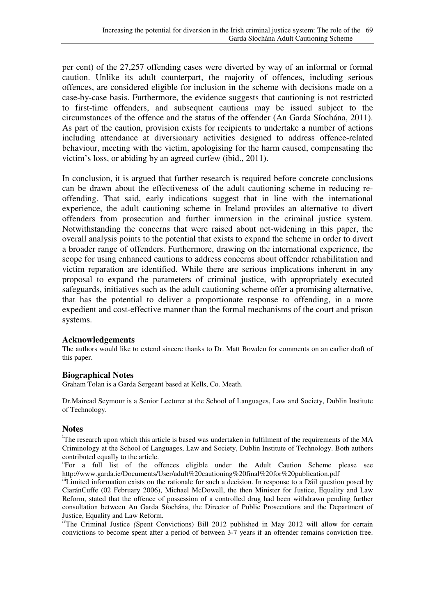per cent) of the 27,257 offending cases were diverted by way of an informal or formal caution. Unlike its adult counterpart, the majority of offences, including serious offences, are considered eligible for inclusion in the scheme with decisions made on a case-by-case basis. Furthermore, the evidence suggests that cautioning is not restricted to first-time offenders, and subsequent cautions may be issued subject to the circumstances of the offence and the status of the offender (An Garda Síochána, 2011). As part of the caution, provision exists for recipients to undertake a number of actions including attendance at diversionary activities designed to address offence-related behaviour, meeting with the victim, apologising for the harm caused, compensating the victim's loss, or abiding by an agreed curfew (ibid., 2011).

In conclusion, it is argued that further research is required before concrete conclusions can be drawn about the effectiveness of the adult cautioning scheme in reducing reoffending. That said, early indications suggest that in line with the international experience, the adult cautioning scheme in Ireland provides an alternative to divert offenders from prosecution and further immersion in the criminal justice system. Notwithstanding the concerns that were raised about net-widening in this paper, the overall analysis points to the potential that exists to expand the scheme in order to divert a broader range of offenders. Furthermore, drawing on the international experience, the scope for using enhanced cautions to address concerns about offender rehabilitation and victim reparation are identified. While there are serious implications inherent in any proposal to expand the parameters of criminal justice, with appropriately executed safeguards, initiatives such as the adult cautioning scheme offer a promising alternative, that has the potential to deliver a proportionate response to offending, in a more expedient and cost-effective manner than the formal mechanisms of the court and prison systems.

#### **Acknowledgements**

The authors would like to extend sincere thanks to Dr. Matt Bowden for comments on an earlier draft of this paper.

#### **Biographical Notes**

Graham Tolan is a Garda Sergeant based at Kells, Co. Meath.

Dr.Mairead Seymour is a Senior Lecturer at the School of Languages, Law and Society, Dublin Institute of Technology.

#### **Notes**

<sup>i</sup>The research upon which this article is based was undertaken in fulfilment of the requirements of the MA Criminology at the School of Languages, Law and Society, Dublin Institute of Technology. Both authors contributed equally to the article.

iiFor a full list of the offences eligible under the Adult Caution Scheme please see http://www.garda.ie/Documents/User/adult%20cautioning%20final%20for%20publication.pdf

iiiLimited information exists on the rationale for such a decision. In response to a Dáil question posed by CiaránCuffe (02 February 2006), Michael McDowell, the then Minister for Justice, Equality and Law Reform, stated that the offence of possession of a controlled drug had been withdrawn pending further consultation between An Garda Síochána, the Director of Public Prosecutions and the Department of Justice, Equality and Law Reform.

ivThe Criminal Justice *(*Spent Convictions) Bill 2012 published in May 2012 will allow for certain convictions to become spent after a period of between 3-7 years if an offender remains conviction free.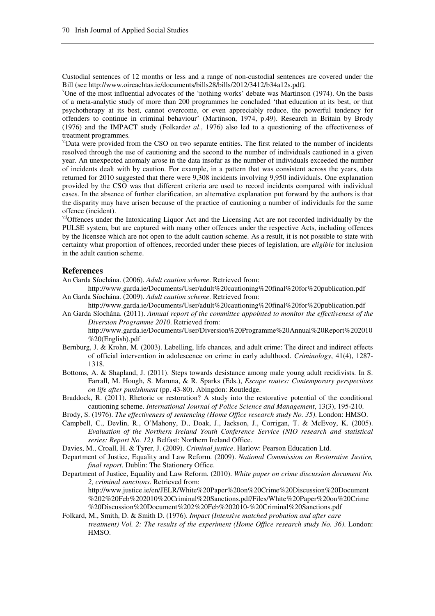Custodial sentences of 12 months or less and a range of non-custodial sentences are covered under the Bill (see http://www.oireachtas.ie/documents/bills28/bills/2012/3412/b34a12s.pdf*).*

<sup>v</sup>One of the most influential advocates of the 'nothing works' debate was Martinson (1974). On the basis of a meta-analytic study of more than 200 programmes he concluded 'that education at its best, or that psychotherapy at its best, cannot overcome, or even appreciably reduce, the powerful tendency for offenders to continue in criminal behaviour' (Martinson, 1974, p.49). Research in Britain by Brody (1976) and the IMPACT study (Folkard*et al*., 1976) also led to a questioning of the effectiveness of treatment programmes.

viData were provided from the CSO on two separate entities. The first related to the number of incidents resolved through the use of cautioning and the second to the number of individuals cautioned in a given year. An unexpected anomaly arose in the data insofar as the number of individuals exceeded the number of incidents dealt with by caution. For example, in a pattern that was consistent across the years, data returned for 2010 suggested that there were 9,308 incidents involving 9,950 individuals. One explanation provided by the CSO was that different criteria are used to record incidents compared with individual cases. In the absence of further clarification, an alternative explanation put forward by the authors is that the disparity may have arisen because of the practice of cautioning a number of individuals for the same offence (incident).

viiOffences under the Intoxicating Liquor Act and the Licensing Act are not recorded individually by the PULSE system, but are captured with many other offences under the respective Acts, including offences by the licensee which are not open to the adult caution scheme. As a result, it is not possible to state with certainty what proportion of offences, recorded under these pieces of legislation, are *eligible* for inclusion in the adult caution scheme.

#### **References**

%20(English).pdf

An Garda Síochána. (2006). *Adult caution scheme*. Retrieved from:

- http://www.garda.ie/Documents/User/adult%20cautioning%20final%20for%20publication.pdf An Garda Síochána. (2009). *Adult caution scheme*. Retrieved from:
- http://www.garda.ie/Documents/User/adult%20cautioning%20final%20for%20publication.pdf An Garda Síochána. (2011). *Annual report of the committee appointed to monitor the effectiveness of the Diversion Programme 2010*. Retrieved from: http://www.garda.ie/Documents/User/Diversion%20Programme%20Annual%20Report%202010
- Bernburg, J. & Krohn, M. (2003). Labelling, life chances, and adult crime: The direct and indirect effects of official intervention in adolescence on crime in early adulthood. *Criminology*, 41(4), 1287- 1318.
- Bottoms, A. & Shapland, J. (2011). Steps towards desistance among male young adult recidivists. In S. Farrall, M. Hough, S. Maruna, & R. Sparks (Eds.), *Escape routes: Contemporary perspectives on life after punishment* (pp. 43-80). Abingdon: Routledge.
- Braddock, R. (2011). Rhetoric or restoration? A study into the restorative potential of the conditional cautioning scheme. *International Journal of Police Science and Management*, 13(3), 195-210.

Brody, S. (1976). *The effectiveness of sentencing (Home Office research study No. 35)*. London: HMSO.

- Campbell, C., Devlin, R., O'Mahony, D., Doak, J., Jackson, J., Corrigan, T. & McEvoy, K. (2005). *Evaluation of the Northern Ireland Youth Conference Service (NIO research and statistical series: Report No. 12)*. Belfast: Northern Ireland Office.
- Davies, M., Croall, H. & Tyrer, J. (2009). *Criminal justice*. Harlow: Pearson Education Ltd.
- Department of Justice, Equality and Law Reform. (2009). *National Commission on Restorative Justice, final report*. Dublin: The Stationery Office.
- Department of Justice, Equality and Law Reform. (2010). *White paper on crime discussion document No. 2, criminal sanctions*. Retrieved from: http://www.justice.ie/en/JELR/White%20Paper%20on%20Crime%20Discussion%20Document %202%20Feb%202010%20Criminal%20Sanctions.pdf/Files/White%20Paper%20on%20Crime %20Discussion%20Document%202%20Feb%202010-%20Criminal%20Sanctions.pdf
- Folkard, M., Smith, D. & Smith D. (1976). *Impact (Intensive matched probation and after care treatment) Vol. 2: The results of the experiment (Home Office research study No. 36)*. London: HMSO.